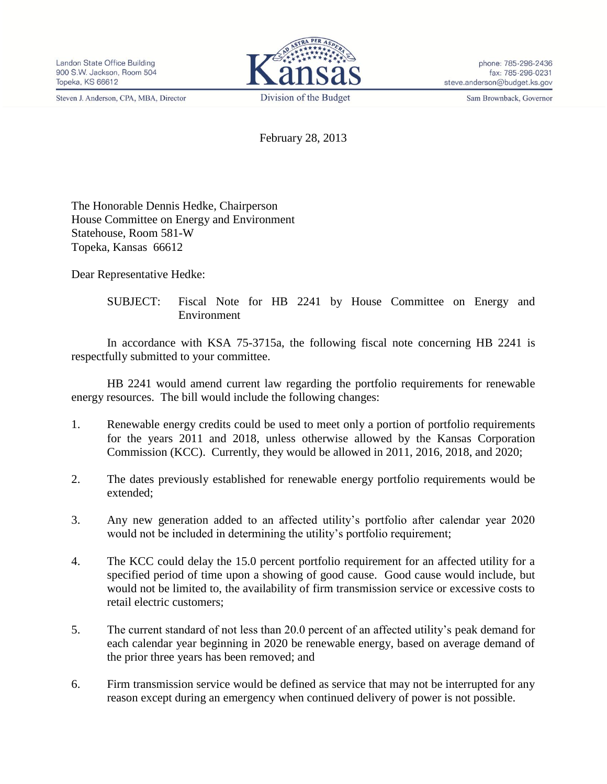Steven J. Anderson, CPA, MBA, Director



phone: 785-296-2436 fax: 785-296-0231 steve.anderson@budget.ks.gov

Sam Brownback, Governor

February 28, 2013

The Honorable Dennis Hedke, Chairperson House Committee on Energy and Environment Statehouse, Room 581-W Topeka, Kansas 66612

Dear Representative Hedke:

SUBJECT: Fiscal Note for HB 2241 by House Committee on Energy and Environment

In accordance with KSA 75-3715a, the following fiscal note concerning HB 2241 is respectfully submitted to your committee.

HB 2241 would amend current law regarding the portfolio requirements for renewable energy resources. The bill would include the following changes:

- 1. Renewable energy credits could be used to meet only a portion of portfolio requirements for the years 2011 and 2018, unless otherwise allowed by the Kansas Corporation Commission (KCC). Currently, they would be allowed in 2011, 2016, 2018, and 2020;
- 2. The dates previously established for renewable energy portfolio requirements would be extended;
- 3. Any new generation added to an affected utility's portfolio after calendar year 2020 would not be included in determining the utility's portfolio requirement;
- 4. The KCC could delay the 15.0 percent portfolio requirement for an affected utility for a specified period of time upon a showing of good cause. Good cause would include, but would not be limited to, the availability of firm transmission service or excessive costs to retail electric customers;
- 5. The current standard of not less than 20.0 percent of an affected utility's peak demand for each calendar year beginning in 2020 be renewable energy, based on average demand of the prior three years has been removed; and
- 6. Firm transmission service would be defined as service that may not be interrupted for any reason except during an emergency when continued delivery of power is not possible.